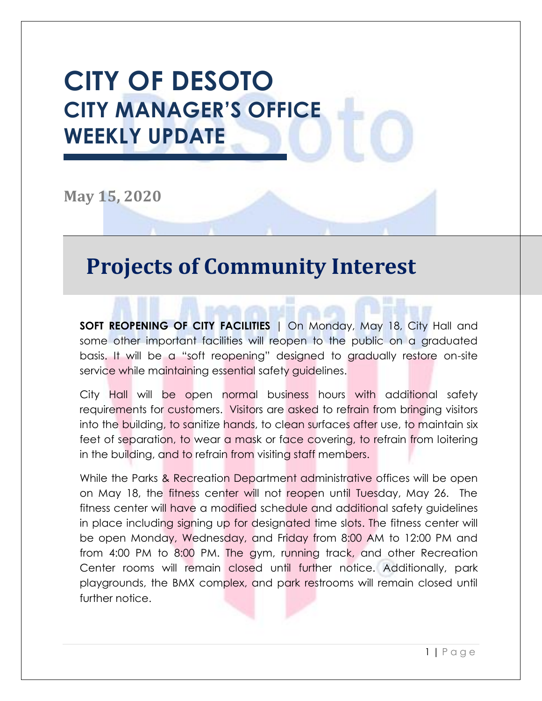# **CITY OF DESOTO CITY MANAGER'S OFFICE WEEKLY UPDATE**

**May 15, 2020**

#### **Projects of Community Interest**

**SOFT REOPENING OF CITY FACILITIES** | On Monday, May 18, City Hall and some other important facilities will reopen to the public on a graduated basis. It will be a "soft reopening" designed to gradually restore on-site service while maintaining essential safety guidelines.

City Hall will be open normal business hours with additional safety requirements for customers. Visitors are asked to refrain from bringing visitors into the building, to sanitize hands, to clean surfaces after use, to maintain six feet of separation, to wear a mask or face covering, to refrain from loitering in the building, and to refrain from visiting staff members.

While the Parks & Recreation Department administrative offices will be open on May 18, the fitness center will not reopen until Tuesday, May 26. The fitness center will have a modified schedule and additional safety guidelines in place including signing up for designated time slots. The fitness center will be open Monday, Wednesday, and Friday from 8:00 AM to 12:00 PM and from 4:00 PM to 8:00 PM. The gym, running track, and other Recreation Center rooms will remain closed until further notice. Additionally, park playgrounds, the BMX complex, and park restrooms will remain closed until further notice.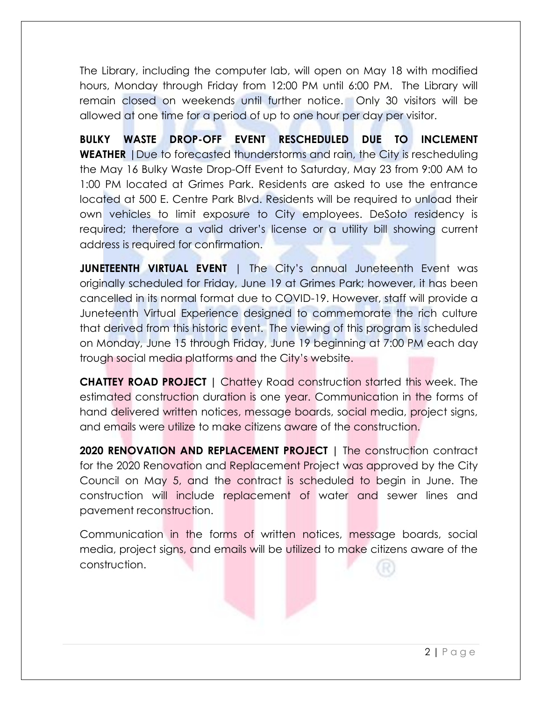The Library, including the computer lab, will open on May 18 with modified hours, Monday through Friday from 12:00 PM until 6:00 PM. The Library will remain closed on weekends until further notice. Only 30 visitors will be allowed at one time for a period of up to one hour per day per visitor.

**BULKY WASTE DROP-OFF EVENT RESCHEDULED DUE TO INCLEMENT WEATHER** |Due to forecasted thunderstorms and rain, the City is rescheduling the May 16 Bulky Waste Drop-Off Event to Saturday, May 23 from 9:00 AM to 1:00 PM located at Grimes Park. Residents are asked to use the entrance located at 500 E. Centre Park Blvd. Residents will be required to unload their own vehicles to limit exposure to City employees. DeSoto residency is required; therefore a valid driver's license or a utility bill showing current address is required for confirmation.

**JUNETEENTH VIRTUAL EVENT** | The City's annual Juneteenth Event was originally scheduled for Friday, June 19 at Grimes Park; however, it has been cancelled in its normal format due to COVID-19. However, staff will provide a Juneteenth Virtual Experience designed to commemorate the rich culture that derived from this historic event. The viewing of this program is scheduled on Monday, June 15 through Friday, June 19 beginning at 7:00 PM each day trough social media platforms and the City's website.

**CHATTEY ROAD PROJECT |** Chattey Road construction started this week. The estimated construction duration is one year. Communication in the forms of hand delivered written notices, message boards, social media, project signs, and emails were utilize to make citizens aware of the construction.

**2020 RENOVATION AND REPLACEMENT PROJECT** | The construction contract for the 2020 Renovation and Replacement Project was approved by the City Council on May 5, and the contract is scheduled to begin in June. The construction will include replacement of water and sewer lines and pavement reconstruction.

Communication in the forms of written notices, message boards, social media, project signs, and emails will be utilized to make citizens aware of the construction.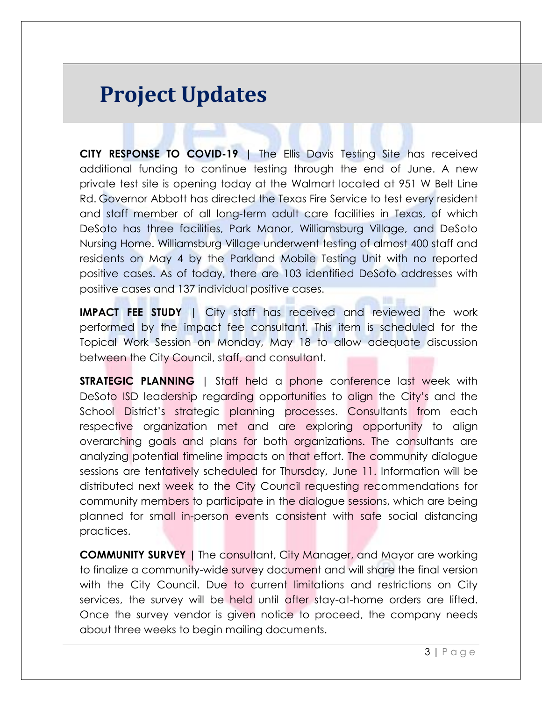### **Project Updates**

**CITY RESPONSE TO COVID-19** | The Ellis Davis Testing Site has received additional funding to continue testing through the end of June. A new private test site is opening today at the Walmart located at 951 W Belt Line Rd. Governor Abbott has directed the Texas Fire Service to test every resident and staff member of all long-term adult care facilities in Texas, of which DeSoto has three facilities, Park Manor, Williamsburg Village, and DeSoto Nursing Home. Williamsburg Village underwent testing of almost 400 staff and residents on May 4 by the Parkland Mobile Testing Unit with no reported positive cases. As of today, there are 103 identified DeSoto addresses with positive cases and 137 individual positive cases.

**IMPACT FEE STUDY** | City staff has received and reviewed the work performed by the impact fee consultant. This item is scheduled for the Topical Work Session on Monday, May 18 to allow adequate discussion between the City Council, staff, and consultant.

**STRATEGIC PLANNING** | Staff held a phone conference last week with DeSoto ISD leadership regarding opportunities to align the City's and the School District's strategic planning processes. Consultants from each respective organization met and are exploring opportunity to align overarching goals and plans for both organizations. The consultants are analyzing potential timeline impacts on that effort. The community dialogue sessions are tentatively scheduled for Thursday, June 11. Information will be distributed next week to the City Council requesting recommendations for community members to participate in the dialogue sessions, which are being planned for small in-person events consistent with safe social distancing practices.

**COMMUNITY SURVEY |** The consultant, City Manager, and Mayor are working to finalize a community-wide survey document and will share the final version with the City Council. Due to current limitations and restrictions on City services, the survey will be held until after stay-at-home orders are lifted. Once the survey vendor is given notice to proceed, the company needs about three weeks to begin mailing documents.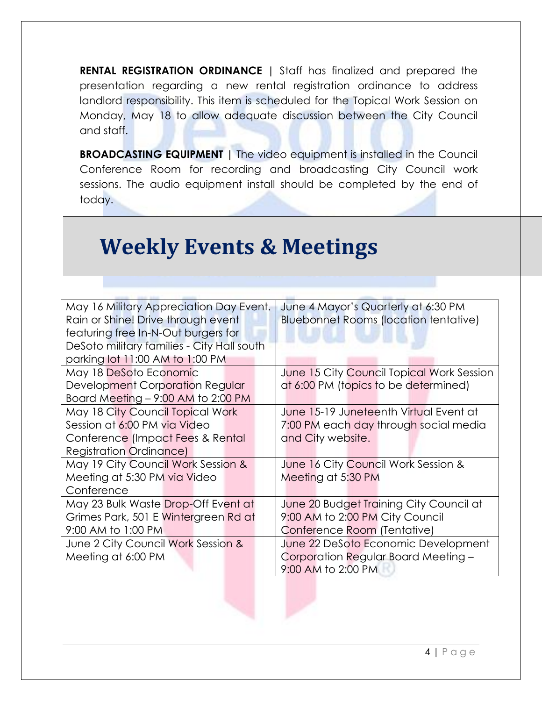**RENTAL REGISTRATION ORDINANCE |** Staff has finalized and prepared the presentation regarding a new rental registration ordinance to address landlord responsibility. This item is scheduled for the Topical Work Session on Monday, May 18 to allow adequate discussion between the City Council and staff.

**BROADCASTING EQUIPMENT |** The video equipment is installed in the Council Conference Room for recording and broadcasting City Council work sessions. The audio equipment install should be completed by the end of today.

## **Weekly Events & Meetings**

| May 16 Military Appreciation Day Event.                                   | June 4 Mayor's Quarterly at 6:30 PM          |  |
|---------------------------------------------------------------------------|----------------------------------------------|--|
| Rain or Shine! Drive through event                                        | <b>Bluebonnet Rooms (location tentative)</b> |  |
| featuring free In-N-Out burgers for                                       |                                              |  |
| DeSoto military families - City Hall south                                |                                              |  |
| parking lot 11:00 AM to 1:00 PM                                           |                                              |  |
| May 18 DeSoto Economic                                                    | June 15 City Council Topical Work Session    |  |
| Development Corporation Regular                                           | at 6:00 PM (topics to be determined)         |  |
| Board Meeting - 9:00 AM to 2:00 PM                                        |                                              |  |
| May 18 City Council Topical Work                                          | June 15-19 Juneteenth Virtual Event at       |  |
| Session at 6:00 PM via Video                                              | 7:00 PM each day through social media        |  |
| Conference (Impact Fees & Rental                                          | and City website.                            |  |
| <b>Registration Ordinance)</b>                                            |                                              |  |
| May 19 City Council Work Session &                                        | June 16 City Council Work Session &          |  |
| Meeting at 5:30 PM via Video                                              | Meeting at 5:30 PM                           |  |
| Conference                                                                |                                              |  |
| May 23 Bulk Waste Drop-Off Event at                                       | June 20 Budget Training City Council at      |  |
| Grimes Park, 501 E Wintergreen Rd at                                      | 9:00 AM to 2:00 PM City Council              |  |
| 9:00 AM to 1:00 PM                                                        | Conference Room (Tentative)                  |  |
| June 22 DeSoto Economic Development<br>June 2 City Council Work Session & |                                              |  |
| Meeting at 6:00 PM                                                        | Corporation Regular Board Meeting -          |  |
|                                                                           | 9:00 AM to 2:00 PM                           |  |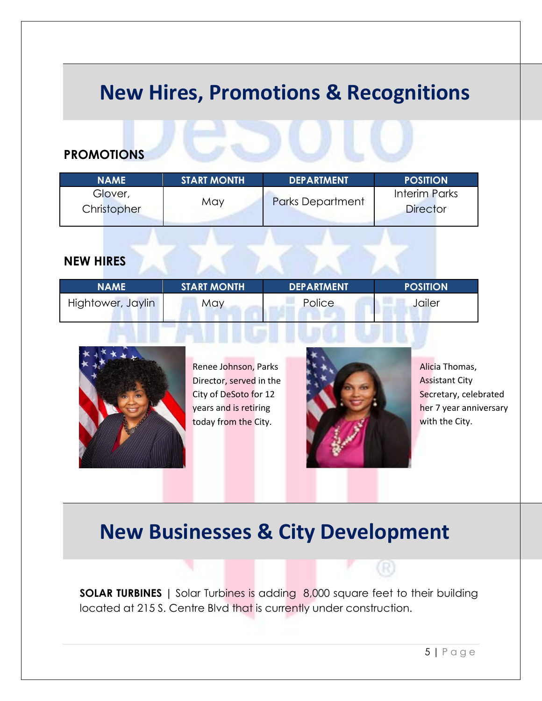#### **New Hires, Promotions & Recognitions**

#### **PROMOTIONS**

| <b>NAME</b>            | <b>START MONTH</b> | <b>DEPARTMENT</b>       | <b>POSITION</b>                         |
|------------------------|--------------------|-------------------------|-----------------------------------------|
| Glover,<br>Christopher | May                | <b>Parks Department</b> | <b>Interim Parks</b><br><b>Director</b> |

#### **NEW HIRES**

| <b>NAME</b> '     | <b>START MONTH</b> | <b>DEPARTMENT</b> | <b>POSITION</b> |
|-------------------|--------------------|-------------------|-----------------|
| Hightower, Jaylin | May                | Police            | Jailer          |



Renee Johnson, Parks Director, served in the City of DeSoto for 12 years and is retiring today from the City.



Alicia Thomas, Assistant City Secretary, celebrated her 7 year anniversary with the City.

#### **New Businesses & City Development**

**SOLAR TURBINES |** Solar Turbines is adding 8,000 square feet to their building located at 215 S. Centre Blvd that is currently under construction.